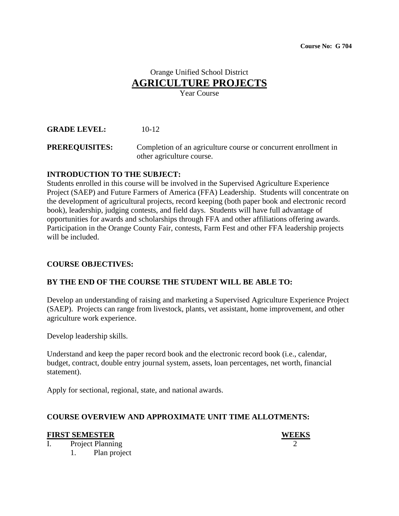# Orange Unified School District **AGRICULTURE PROJECTS**

Year Course

## **GRADE LEVEL:** 10-12

**PREREQUISITES:** Completion of an agriculture course or concurrent enrollment in other agriculture course.

#### **INTRODUCTION TO THE SUBJECT:**

Students enrolled in this course will be involved in the Supervised Agriculture Experience Project (SAEP) and Future Farmers of America (FFA) Leadership. Students will concentrate on the development of agricultural projects, record keeping (both paper book and electronic record book), leadership, judging contests, and field days. Students will have full advantage of opportunities for awards and scholarships through FFA and other affiliations offering awards. Participation in the Orange County Fair, contests, Farm Fest and other FFA leadership projects will be included.

### **COURSE OBJECTIVES:**

### **BY THE END OF THE COURSE THE STUDENT WILL BE ABLE TO:**

Develop an understanding of raising and marketing a Supervised Agriculture Experience Project (SAEP). Projects can range from livestock, plants, vet assistant, home improvement, and other agriculture work experience.

Develop leadership skills.

Understand and keep the paper record book and the electronic record book (i.e., calendar, budget, contract, double entry journal system, assets, loan percentages, net worth, financial statement).

Apply for sectional, regional, state, and national awards.

### **COURSE OVERVIEW AND APPROXIMATE UNIT TIME ALLOTMENTS:**

#### **FIRST SEMESTER WEEKS**

I. Project Planning 2

1. Plan project